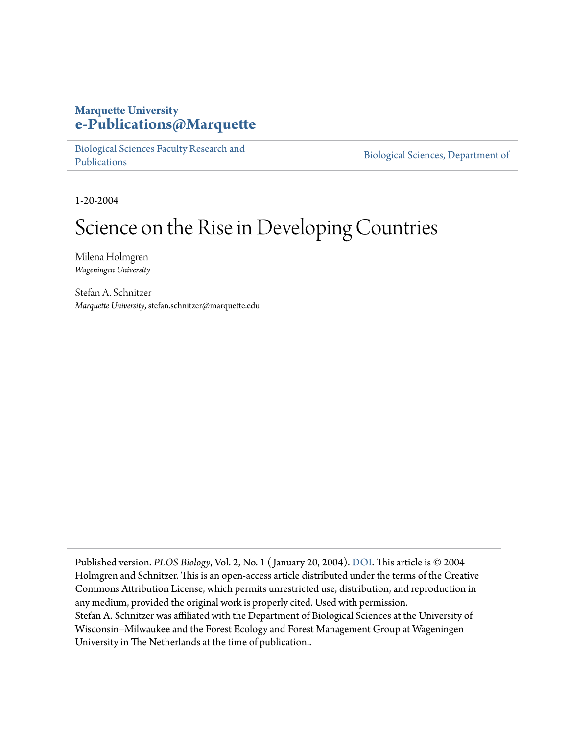### **Marquette University [e-Publications@Marquette](https://epublications.marquette.edu/)**

[Biological Sciences Faculty Research and](https://epublications.marquette.edu/bio_fac) [Publications](https://epublications.marquette.edu/bio_fac)

[Biological Sciences, Department of](https://epublications.marquette.edu/biology)

1-20-2004

## Science on the Rise in Developing Countries

Milena Holmgren *Wageningen University*

Stefan A. Schnitzer *Marquette University*, stefan.schnitzer@marquette.edu

Published version. *PLOS Biology*, Vol. 2, No. 1 ( January 20, 2004). DOI. This article is © 2004 Holmgren and Schnitzer. This is an open-access article distributed under the terms of the Creative Commons Attribution License, which permits unrestricted use, distribution, and reproduction in any medium, provided the original work is properly cited. Used with permission. Stefan A. Schnitzer was affiliated with the Department of Biological Sciences at the University of Wisconsin–Milwaukee and the Forest Ecology and Forest Management Group at Wageningen University in The Netherlands at the time of publication..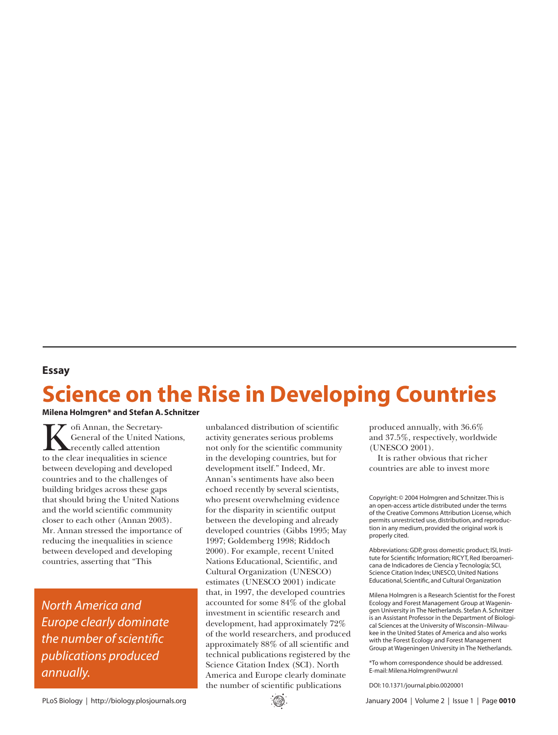#### **Essay**

# **Science on the Rise in Developing Countries**

#### **Milena Holmgren\* and Stefan A. Schnitzer**

ofi Annan, the Secretary-<br>General of the United Nate<br>to the clear inequalities in science General of the United Nations, recently called attention to the clear inequalities in science between developing and developed countries and to the challenges of building bridges across these gaps that should bring the United Nations and the world scientific community closer to each other (Annan 2003). Mr. Annan stressed the importance of reducing the inequalities in science between developed and developing countries, asserting that "This

*North America and Europe clearly dominate*  **the number of scientific** *publications produced annually.*

unbalanced distribution of scientific activity generates serious problems not only for the scientific community in the developing countries, but for development itself." Indeed, Mr. Annan's sentiments have also been echoed recently by several scientists, who present overwhelming evidence for the disparity in scientific output between the developing and already developed countries (Gibbs 1995; May 1997; Goldemberg 1998; Riddoch 2000). For example, recent United Nations Educational, Scientific, and Cultural Organization (UNESCO) estimates (UNESCO 2001) indicate that, in 1997, the developed countries accounted for some 84% of the global investment in scientific research and development, had approximately 72% of the world researchers, and produced approximately  $88\%$  of all scientific and technical publications registered by the Science Citation Index (SCI). North America and Europe clearly dominate the number of scientific publications

produced annually, with 36.6% and 37.5%, respectively, worldwide (UNESCO 2001).

It is rather obvious that richer countries are able to invest more

Copyright: © 2004 Holmgren and Schnitzer. This is an open-access article distributed under the terms of the Creative Commons Attribution License, which permits unrestricted use, distribution, and reproduction in any medium, provided the original work is properly cited.

Abbreviations: GDP, gross domestic product; ISI, Institute for Scientific Information; RICYT, Red Iberoamericana de Indicadores de Ciencia y Tecnología; SCI, Science Citation Index; UNESCO, United Nations Educational, Scientific, and Cultural Organization

Milena Holmgren is a Research Scientist for the Forest Ecology and Forest Management Group at Wageningen University in The Netherlands. Stefan A. Schnitzer is an Assistant Professor in the Department of Biological Sciences at the University of Wisconsin–Milwaukee in the United States of America and also works with the Forest Ecology and Forest Management Group at Wageningen University in The Netherlands.

\*To whom correspondence should be addressed. E-mail: Milena.Holmgren@wur.nl

DOI: 10.1371/journal.pbio.0020001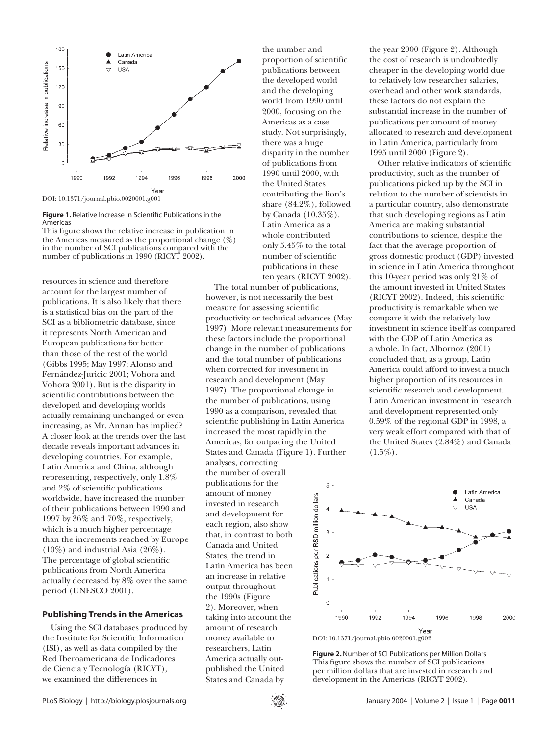

Figure 1. Relative Increase in Scientific Publications in the

Americas This figure shows the relative increase in publication in the Americas measured as the proportional change  $(\%)$ in the number of SCI publications compared with the number of publications in 1990 (RICYT 2002).

resources in science and therefore account for the largest number of publications. It is also likely that there is a statistical bias on the part of the SCI as a bibliometric database, since it represents North American and European publications far better than those of the rest of the world (Gibbs 1995; May 1997; Alonso and Fernández-Juricic 2001; Vohora and Vohora 2001). But is the disparity in scientific contributions between the developed and developing worlds actually remaining unchanged or even increasing, as Mr. Annan has implied? A closer look at the trends over the last decade reveals important advances in developing countries. For example, Latin America and China, although representing, respectively, only 1.8% and  $2\%$  of scientific publications worldwide, have increased the number of their publications between 1990 and 1997 by 36% and 70%, respectively, which is a much higher percentage than the increments reached by Europe  $(10\%)$  and industrial Asia  $(26\%).$ The percentage of global scientific publications from North America actually decreased by 8% over the same period (UNESCO 2001).

#### **Publishing Trends in the Americas**

Using the SCI databases produced by the Institute for Scientific Information (ISI), as well as data compiled by the Red Iberoamericana de Indicadores de Ciencia y Tecnología (RICYT), we examined the differences in

the number and proportion of scientific publications between the developed world and the developing world from 1990 until 2000, focusing on the Americas as a case study. Not surprisingly, there was a huge disparity in the number of publications from 1990 until 2000, with the United States contributing the lion's share (84.2%), followed by Canada (10.35%). Latin America as a whole contributed only 5.45% to the total number of scientific publications in these ten years (RICYT 2002).

The total number of publications, however, is not necessarily the best measure for assessing scientific productivity or technical advances (May 1997). More relevant measurements for these factors include the proportional change in the number of publications and the total number of publications when corrected for investment in research and development (May 1997). The proportional change in the number of publications, using 1990 as a comparison, revealed that scientific publishing in Latin America increased the most rapidly in the Americas, far outpacing the United States and Canada (Figure 1). Further analyses, correcting the number of overall publications for the 5 amount of money Publications per R&D million dollars invested in research  $\overline{A}$ and development for each region, also show  $\overline{3}$ that, in contrast to both Canada and United States, the trend in  $\overline{2}$ Latin America has been an increase in relative  $\overline{1}$ output throughout the 1990s (Figure  $\overline{0}$ 2). Moreover, when taking into account the amount of research money available to researchers, Latin America actually outpublished the United

the year 2000 (Figure 2). Although the cost of research is undoubtedly cheaper in the developing world due to relatively low researcher salaries, overhead and other work standards, these factors do not explain the substantial increase in the number of publications per amount of money allocated to research and development in Latin America, particularly from 1995 until 2000 (Figure 2).

Other relative indicators of scientific productivity, such as the number of publications picked up by the SCI in relation to the number of scientists in a particular country, also demonstrate that such developing regions as Latin America are making substantial contributions to science, despite the fact that the average proportion of gross domestic product (GDP) invested in science in Latin America throughout this 10-year period was only 21% of the amount invested in United States (RICYT 2002). Indeed, this scientific productivity is remarkable when we compare it with the relatively low investment in science itself as compared with the GDP of Latin America as a whole. In fact, Albornoz (2001) concluded that, as a group, Latin America could afford to invest a much higher proportion of its resources in scientific research and development. Latin American investment in research and development represented only 0.59% of the regional GDP in 1998, a very weak effort compared with that of the United States (2.84%) and Canada  $(1.5\%)$ .



**Figure 2.** Number of SCI Publications per Million Dollars This figure shows the number of SCI publications per million dollars that are invested in research and development in the Americas (RICYT 2002).



States and Canada by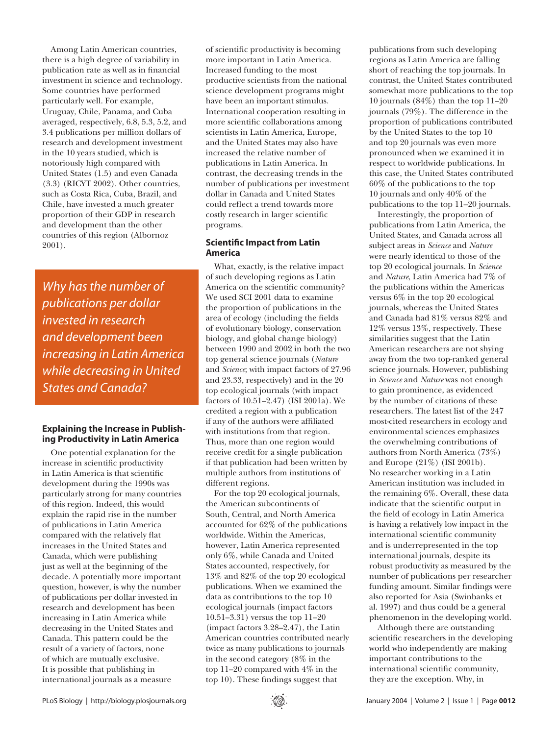Among Latin American countries, there is a high degree of variability in publication rate as well as in financial investment in science and technology. Some countries have performed particularly well. For example, Uruguay, Chile, Panama, and Cuba averaged, respectively, 6.8, 5.3, 5.2, and 3.4 publications per million dollars of research and development investment in the 10 years studied, which is notoriously high compared with United States (1.5) and even Canada (3.3) (RICYT 2002). Other countries, such as Costa Rica, Cuba, Brazil, and Chile, have invested a much greater proportion of their GDP in research and development than the other countries of this region (Albornoz 2001).

*Why has the number of publications per dollar invested in research and development been increasing in Latin America while decreasing in United States and Canada?*

#### **Explaining the Increase in Publishing Productivity in Latin America**

One potential explanation for the increase in scientific productivity in Latin America is that scientific development during the 1990s was particularly strong for many countries of this region. Indeed, this would explain the rapid rise in the number of publications in Latin America compared with the relatively flat increases in the United States and Canada, which were publishing just as well at the beginning of the decade. A potentially more important question, however, is why the number of publications per dollar invested in research and development has been increasing in Latin America while decreasing in the United States and Canada. This pattern could be the result of a variety of factors, none of which are mutually exclusive. It is possible that publishing in international journals as a measure

of scientific productivity is becoming more important in Latin America. Increased funding to the most productive scientists from the national science development programs might have been an important stimulus. International cooperation resulting in more scientific collaborations among scientists in Latin America, Europe, and the United States may also have increased the relative number of publications in Latin America. In contrast, the decreasing trends in the number of publications per investment dollar in Canada and United States could reflect a trend towards more costly research in larger scientific programs.

#### **Scientific Impact from Latin America**

What, exactly, is the relative impact of such developing regions as Latin America on the scientific community? We used SCI 2001 data to examine the proportion of publications in the area of ecology (including the fields of evolutionary biology, conservation biology, and global change biology) between 1990 and 2002 in both the two top general science journals (*Nature* and *Science*; with impact factors of 27.96 and 23.33, respectively) and in the 20 top ecological journals (with impact factors of 10.51–2.47) (ISI 2001a). We credited a region with a publication if any of the authors were affiliated with institutions from that region. Thus, more than one region would receive credit for a single publication if that publication had been written by multiple authors from institutions of different regions.

For the top 20 ecological journals, the American subcontinents of South, Central, and North America accounted for 62% of the publications worldwide. Within the Americas, however, Latin America represented only 6%, while Canada and United States accounted, respectively, for 13% and 82% of the top 20 ecological publications. When we examined the data as contributions to the top 10 ecological journals (impact factors 10.51–3.31) versus the top 11–20 (impact factors 3.28–2.47), the Latin American countries contributed nearly twice as many publications to journals in the second category (8% in the top 11–20 compared with 4% in the top 10). These findings suggest that

publications from such developing regions as Latin America are falling short of reaching the top journals. In contrast, the United States contributed somewhat more publications to the top 10 journals (84%) than the top 11–20 journals (79%). The difference in the proportion of publications contributed by the United States to the top 10 and top 20 journals was even more pronounced when we examined it in respect to worldwide publications. In this case, the United States contributed 60% of the publications to the top 10 journals and only 40% of the publications to the top 11–20 journals.

Interestingly, the proportion of publications from Latin America, the United States, and Canada across all subject areas in *Science* and *Nature* were nearly identical to those of the top 20 ecological journals. In *Science* and *Nature*, Latin America had 7% of the publications within the Americas versus 6% in the top 20 ecological journals, whereas the United States and Canada had 81% versus 82% and 12% versus 13%, respectively. These similarities suggest that the Latin American researchers are not shying away from the two top-ranked general science journals. However, publishing in *Science* and *Nature* was not enough to gain prominence, as evidenced by the number of citations of these researchers. The latest list of the 247 most-cited researchers in ecology and environmental sciences emphasizes the overwhelming contributions of authors from North America (73%) and Europe (21%) (ISI 2001b). No researcher working in a Latin American institution was included in the remaining 6%. Overall, these data indicate that the scientific output in the field of ecology in Latin America is having a relatively low impact in the international scientific community and is underrepresented in the top international journals, despite its robust productivity as measured by the number of publications per researcher funding amount. Similar findings were also reported for Asia (Swinbanks et al. 1997) and thus could be a general phenomenon in the developing world.

Although there are outstanding scientific researchers in the developing world who independently are making important contributions to the international scientific community, they are the exception. Why, in